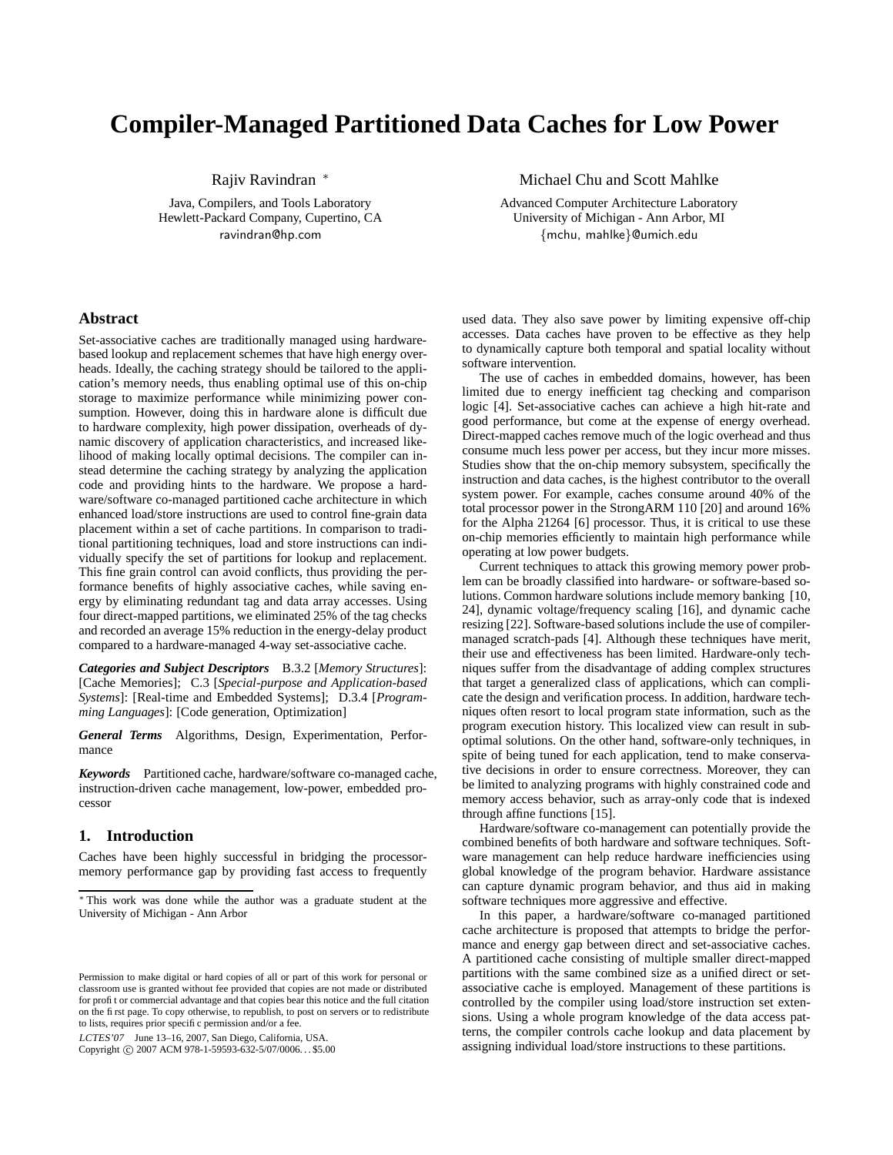# **Compiler-Managed Partitioned Data Caches for Low Power**

Rajiv Ravindran <sup>∗</sup>

Java, Compilers, and Tools Laboratory Hewlett-Packard Company, Cupertino, CA ravindran@hp.com

## **Abstract**

Set-associative caches are traditionally managed using hardwarebased lookup and replacement schemes that have high energy overheads. Ideally, the caching strategy should be tailored to the application's memory needs, thus enabling optimal use of this on-chip storage to maximize performance while minimizing power consumption. However, doing this in hardware alone is difficult due to hardware complexity, high power dissipation, overheads of dynamic discovery of application characteristics, and increased likelihood of making locally optimal decisions. The compiler can instead determine the caching strategy by analyzing the application code and providing hints to the hardware. We propose a hardware/software co-managed partitioned cache architecture in which enhanced load/store instructions are used to control fine-grain data placement within a set of cache partitions. In comparison to traditional partitioning techniques, load and store instructions can individually specify the set of partitions for lookup and replacement. This fine grain control can avoid conflicts, thus providing the performance benefits of highly associative caches, while saving energy by eliminating redundant tag and data array accesses. Using four direct-mapped partitions, we eliminated 25% of the tag checks and recorded an average 15% reduction in the energy-delay product compared to a hardware-managed 4-way set-associative cache.

*Categories and Subject Descriptors* B.3.2 [*Memory Structures*]: [Cache Memories]; C.3 [*Special-purpose and Application-based Systems*]: [Real-time and Embedded Systems]; D.3.4 [*Programming Languages*]: [Code generation, Optimization]

*General Terms* Algorithms, Design, Experimentation, Performance

*Keywords* Partitioned cache, hardware/software co-managed cache, instruction-driven cache management, low-power, embedded processor

# **1. Introduction**

Caches have been highly successful in bridging the processormemory performance gap by providing fast access to frequently

LCTES'07 June 13–16, 2007, San Diego, California, USA.

Copyright © 2007 ACM 978-1-59593-632-5/07/0006... \$5.00

Michael Chu and Scott Mahlke Advanced Computer Architecture Laboratory University of Michigan - Ann Arbor, MI {mchu, mahlke}@umich.edu

used data. They also save power by limiting expensive off-chip accesses. Data caches have proven to be effective as they help to dynamically capture both temporal and spatial locality without software intervention.

The use of caches in embedded domains, however, has been limited due to energy inefficient tag checking and comparison logic [4]. Set-associative caches can achieve a high hit-rate and good performance, but come at the expense of energy overhead. Direct-mapped caches remove much of the logic overhead and thus consume much less power per access, but they incur more misses. Studies show that the on-chip memory subsystem, specifically the instruction and data caches, is the highest contributor to the overall system power. For example, caches consume around 40% of the total processor power in the StrongARM 110 [20] and around 16% for the Alpha 21264 [6] processor. Thus, it is critical to use these on-chip memories efficiently to maintain high performance while operating at low power budgets.

Current techniques to attack this growing memory power problem can be broadly classified into hardware- or software-based solutions. Common hardware solutions include memory banking [10, 24], dynamic voltage/frequency scaling [16], and dynamic cache resizing [22]. Software-based solutions include the use of compilermanaged scratch-pads [4]. Although these techniques have merit, their use and effectiveness has been limited. Hardware-only techniques suffer from the disadvantage of adding complex structures that target a generalized class of applications, which can complicate the design and verification process. In addition, hardware techniques often resort to local program state information, such as the program execution history. This localized view can result in suboptimal solutions. On the other hand, software-only techniques, in spite of being tuned for each application, tend to make conservative decisions in order to ensure correctness. Moreover, they can be limited to analyzing programs with highly constrained code and memory access behavior, such as array-only code that is indexed through affine functions [15].

Hardware/software co-management can potentially provide the combined benefits of both hardware and software techniques. Software management can help reduce hardware inefficiencies using global knowledge of the program behavior. Hardware assistance can capture dynamic program behavior, and thus aid in making software techniques more aggressive and effective.

In this paper, a hardware/software co-managed partitioned cache architecture is proposed that attempts to bridge the performance and energy gap between direct and set-associative caches. A partitioned cache consisting of multiple smaller direct-mapped partitions with the same combined size as a unified direct or setassociative cache is employed. Management of these partitions is controlled by the compiler using load/store instruction set extensions. Using a whole program knowledge of the data access patterns, the compiler controls cache lookup and data placement by assigning individual load/store instructions to these partitions.

<sup>∗</sup> This work was done while the author was a graduate student at the University of Michigan - Ann Arbor

Permission to make digital or hard copies of all or part of this work for personal or classroom use is granted without fee provided that copies are not made or distributed for profit or commercial advantage and that copies bear this notice and the full citation on the first page. To copy otherwise, to republish, to post on servers or to redistribute to lists, requires prior specific permission and/or a fee.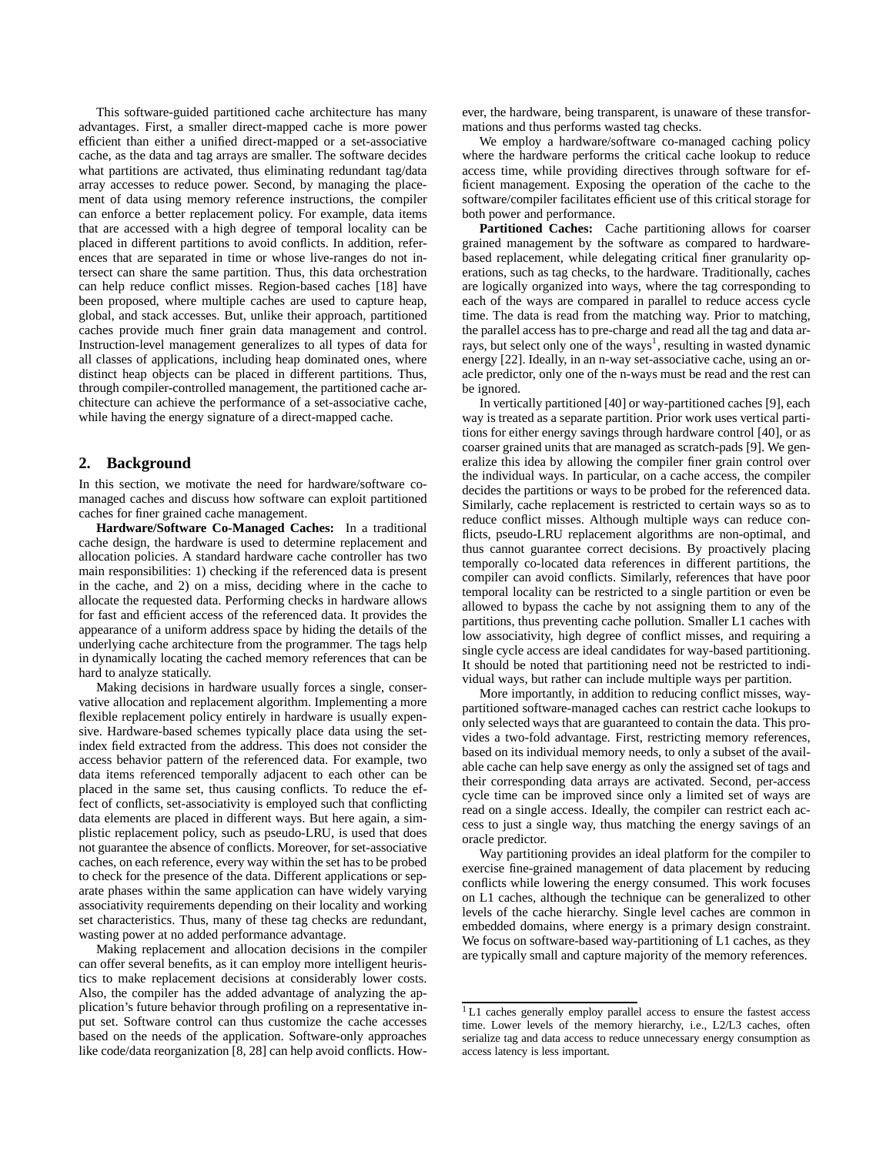This software-guided partitioned cache architecture has many advantages. First, a smaller direct-mapped cache is more power efficient than either a unified direct-mapped or a set-associative cache, as the data and tag arrays are smaller. The software decides what partitions are activated, thus eliminating redundant tag/data array accesses to reduce power. Second, by managing the placement of data using memory reference instructions, the compiler can enforce a better replacement policy. For example, data items that are accessed with a high degree of temporal locality can be placed in different partitions to avoid conflicts. In addition, references that are separated in time or whose live-ranges do not intersect can share the same partition. Thus, this data orchestration can help reduce conflict misses. Region-based caches [18] have been proposed, where multiple caches are used to capture heap, global, and stack accesses. But, unlike their approach, partitioned caches provide much finer grain data management and control. Instruction-level management generalizes to all types of data for all classes of applications, including heap dominated ones, where distinct heap objects can be placed in different partitions. Thus, through compiler-controlled management, the partitioned cache architecture can achieve the performance of a set-associative cache, while having the energy signature of a direct-mapped cache.

## **2. Background**

In this section, we motivate the need for hardware/software comanaged caches and discuss how software can exploit partitioned caches for finer grained cache management.

**Hardware/Software Co-Managed Caches:** In a traditional cache design, the hardware is used to determine replacement and allocation policies. A standard hardware cache controller has two main responsibilities: 1) checking if the referenced data is present in the cache, and 2) on a miss, deciding where in the cache to allocate the requested data. Performing checks in hardware allows for fast and efficient access of the referenced data. It provides the appearance of a uniform address space by hiding the details of the underlying cache architecture from the programmer. The tags help in dynamically locating the cached memory references that can be hard to analyze statically.

Making decisions in hardware usually forces a single, conservative allocation and replacement algorithm. Implementing a more flexible replacement policy entirely in hardware is usually expensive. Hardware-based schemes typically place data using the setindex field extracted from the address. This does not consider the access behavior pattern of the referenced data. For example, two data items referenced temporally adjacent to each other can be placed in the same set, thus causing conflicts. To reduce the effect of conflicts, set-associativity is employed such that conflicting data elements are placed in different ways. But here again, a simplistic replacement policy, such as pseudo-LRU, is used that does not guarantee the absence of conflicts. Moreover, for set-associative caches, on each reference, every way within the set has to be probed to check for the presence of the data. Different applications or separate phases within the same application can have widely varying associativity requirements depending on their locality and working set characteristics. Thus, many of these tag checks are redundant, wasting power at no added performance advantage.

Making replacement and allocation decisions in the compiler can offer several benefits, as it can employ more intelligent heuristics to make replacement decisions at considerably lower costs. Also, the compiler has the added advantage of analyzing the application's future behavior through profiling on a representative input set. Software control can thus customize the cache accesses based on the needs of the application. Software-only approaches like code/data reorganization [8, 28] can help avoid conflicts. However, the hardware, being transparent, is unaware of these transformations and thus performs wasted tag checks.

We employ a hardware/software co-managed caching policy where the hardware performs the critical cache lookup to reduce access time, while providing directives through software for efficient management. Exposing the operation of the cache to the software/compiler facilitates efficient use of this critical storage for both power and performance.

**Partitioned Caches:** Cache partitioning allows for coarser grained management by the software as compared to hardwarebased replacement, while delegating critical finer granularity operations, such as tag checks, to the hardware. Traditionally, caches are logically organized into ways, where the tag corresponding to each of the ways are compared in parallel to reduce access cycle time. The data is read from the matching way. Prior to matching, the parallel access has to pre-charge and read all the tag and data arrays, but select only one of the ways<sup>1</sup>, resulting in wasted dynamic energy [22]. Ideally, in an n-way set-associative cache, using an oracle predictor, only one of the n-ways must be read and the rest can be ignored.

In vertically partitioned [40] or way-partitioned caches [9], each way is treated as a separate partition. Prior work uses vertical partitions for either energy savings through hardware control [40], or as coarser grained units that are managed as scratch-pads [9]. We generalize this idea by allowing the compiler finer grain control over the individual ways. In particular, on a cache access, the compiler decides the partitions or ways to be probed for the referenced data. Similarly, cache replacement is restricted to certain ways so as to reduce conflict misses. Although multiple ways can reduce conflicts, pseudo-LRU replacement algorithms are non-optimal, and thus cannot guarantee correct decisions. By proactively placing temporally co-located data references in different partitions, the compiler can avoid conflicts. Similarly, references that have poor temporal locality can be restricted to a single partition or even be allowed to bypass the cache by not assigning them to any of the partitions, thus preventing cache pollution. Smaller L1 caches with low associativity, high degree of conflict misses, and requiring a single cycle access are ideal candidates for way-based partitioning. It should be noted that partitioning need not be restricted to individual ways, but rather can include multiple ways per partition.

More importantly, in addition to reducing conflict misses, waypartitioned software-managed caches can restrict cache lookups to only selected ways that are guaranteed to contain the data. This provides a two-fold advantage. First, restricting memory references, based on its individual memory needs, to only a subset of the available cache can help save energy as only the assigned set of tags and their corresponding data arrays are activated. Second, per-access cycle time can be improved since only a limited set of ways are read on a single access. Ideally, the compiler can restrict each access to just a single way, thus matching the energy savings of an oracle predictor.

Way partitioning provides an ideal platform for the compiler to exercise fine-grained management of data placement by reducing conflicts while lowering the energy consumed. This work focuses on L1 caches, although the technique can be generalized to other levels of the cache hierarchy. Single level caches are common in embedded domains, where energy is a primary design constraint. We focus on software-based way-partitioning of L1 caches, as they are typically small and capture majority of the memory references.

<sup>&</sup>lt;sup>1</sup>L1 caches generally employ parallel access to ensure the fastest access time. Lower levels of the memory hierarchy, i.e., L2/L3 caches, often serialize tag and data access to reduce unnecessary energy consumption as access latency is less important.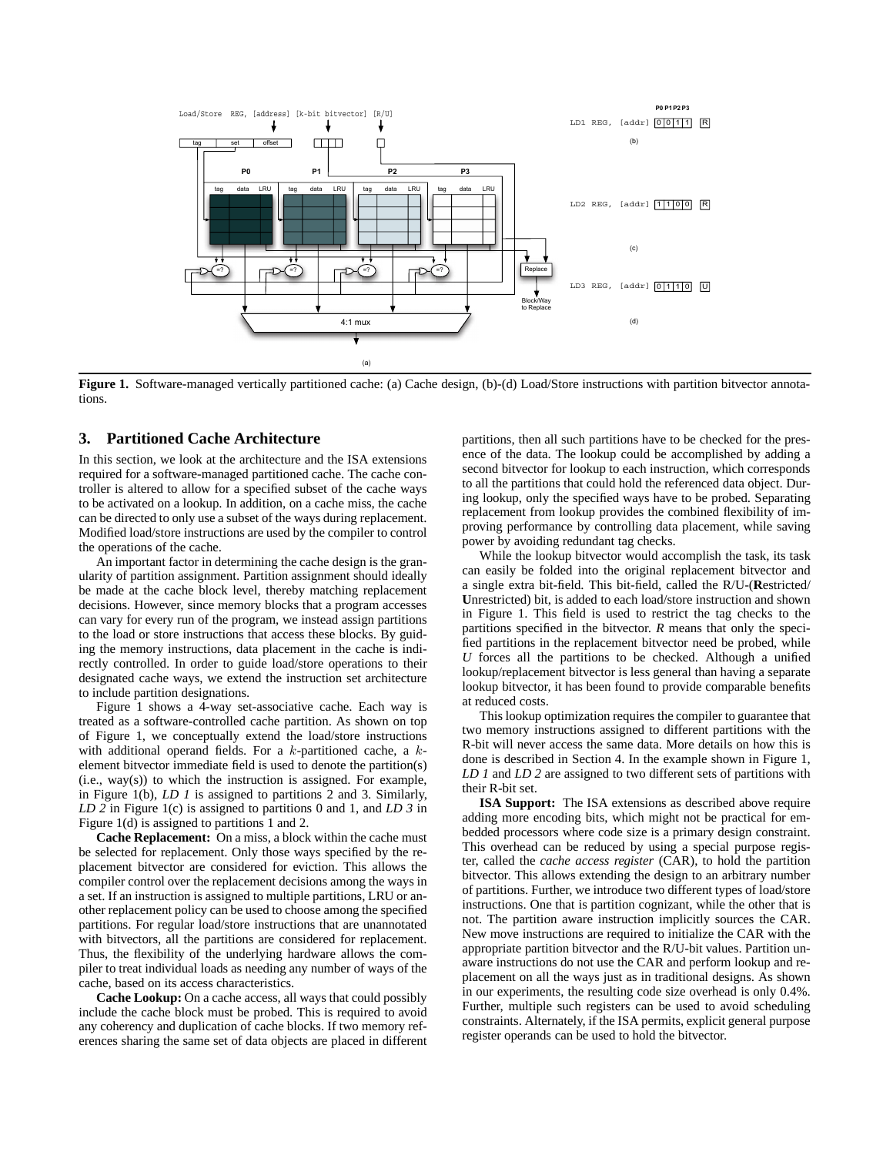

**Figure 1.** Software-managed vertically partitioned cache: (a) Cache design, (b)-(d) Load/Store instructions with partition bitvector annotations.

## **3. Partitioned Cache Architecture**

In this section, we look at the architecture and the ISA extensions required for a software-managed partitioned cache. The cache controller is altered to allow for a specified subset of the cache ways to be activated on a lookup. In addition, on a cache miss, the cache can be directed to only use a subset of the ways during replacement. Modified load/store instructions are used by the compiler to control the operations of the cache.

An important factor in determining the cache design is the granularity of partition assignment. Partition assignment should ideally be made at the cache block level, thereby matching replacement decisions. However, since memory blocks that a program accesses can vary for every run of the program, we instead assign partitions to the load or store instructions that access these blocks. By guiding the memory instructions, data placement in the cache is indirectly controlled. In order to guide load/store operations to their designated cache ways, we extend the instruction set architecture to include partition designations.

Figure 1 shows a 4-way set-associative cache. Each way is treated as a software-controlled cache partition. As shown on top of Figure 1, we conceptually extend the load/store instructions with additional operand fields. For a k-partitioned cache, a kelement bitvector immediate field is used to denote the partition(s)  $(i.e., way(s))$  to which the instruction is assigned. For example, in Figure 1(b), *LD 1* is assigned to partitions 2 and 3. Similarly, *LD 2* in Figure 1(c) is assigned to partitions 0 and 1, and *LD 3* in Figure 1(d) is assigned to partitions 1 and 2.

**Cache Replacement:** On a miss, a block within the cache must be selected for replacement. Only those ways specified by the replacement bitvector are considered for eviction. This allows the compiler control over the replacement decisions among the ways in a set. If an instruction is assigned to multiple partitions, LRU or another replacement policy can be used to choose among the specified partitions. For regular load/store instructions that are unannotated with bitvectors, all the partitions are considered for replacement. Thus, the flexibility of the underlying hardware allows the compiler to treat individual loads as needing any number of ways of the cache, based on its access characteristics.

**Cache Lookup:** On a cache access, all ways that could possibly include the cache block must be probed. This is required to avoid any coherency and duplication of cache blocks. If two memory references sharing the same set of data objects are placed in different

partitions, then all such partitions have to be checked for the presence of the data. The lookup could be accomplished by adding a second bitvector for lookup to each instruction, which corresponds to all the partitions that could hold the referenced data object. During lookup, only the specified ways have to be probed. Separating replacement from lookup provides the combined flexibility of improving performance by controlling data placement, while saving power by avoiding redundant tag checks.

While the lookup bitvector would accomplish the task, its task can easily be folded into the original replacement bitvector and a single extra bit-field. This bit-field, called the R/U-(**R**estricted/ **U**nrestricted) bit, is added to each load/store instruction and shown in Figure 1. This field is used to restrict the tag checks to the partitions specified in the bitvector. *R* means that only the specified partitions in the replacement bitvector need be probed, while *U* forces all the partitions to be checked. Although a unified lookup/replacement bitvector is less general than having a separate lookup bitvector, it has been found to provide comparable benefits at reduced costs.

This lookup optimization requires the compiler to guarantee that two memory instructions assigned to different partitions with the R-bit will never access the same data. More details on how this is done is described in Section 4. In the example shown in Figure 1, *LD 1* and *LD 2* are assigned to two different sets of partitions with their R-bit set.

**ISA Support:** The ISA extensions as described above require adding more encoding bits, which might not be practical for embedded processors where code size is a primary design constraint. This overhead can be reduced by using a special purpose register, called the *cache access register* (CAR), to hold the partition bitvector. This allows extending the design to an arbitrary number of partitions. Further, we introduce two different types of load/store instructions. One that is partition cognizant, while the other that is not. The partition aware instruction implicitly sources the CAR. New move instructions are required to initialize the CAR with the appropriate partition bitvector and the R/U-bit values. Partition unaware instructions do not use the CAR and perform lookup and replacement on all the ways just as in traditional designs. As shown in our experiments, the resulting code size overhead is only 0.4%. Further, multiple such registers can be used to avoid scheduling constraints. Alternately, if the ISA permits, explicit general purpose register operands can be used to hold the bitvector.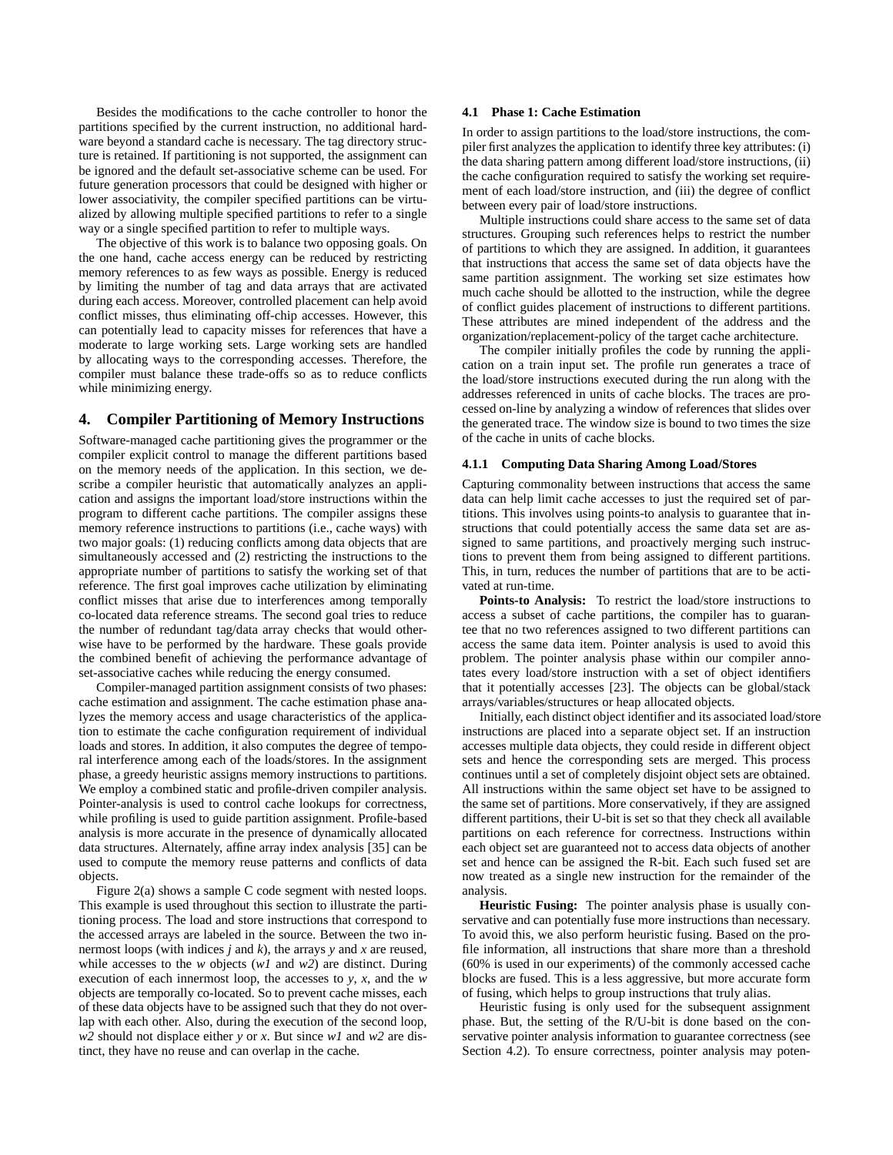Besides the modifications to the cache controller to honor the partitions specified by the current instruction, no additional hardware beyond a standard cache is necessary. The tag directory structure is retained. If partitioning is not supported, the assignment can be ignored and the default set-associative scheme can be used. For future generation processors that could be designed with higher or lower associativity, the compiler specified partitions can be virtualized by allowing multiple specified partitions to refer to a single way or a single specified partition to refer to multiple ways.

The objective of this work is to balance two opposing goals. On the one hand, cache access energy can be reduced by restricting memory references to as few ways as possible. Energy is reduced by limiting the number of tag and data arrays that are activated during each access. Moreover, controlled placement can help avoid conflict misses, thus eliminating off-chip accesses. However, this can potentially lead to capacity misses for references that have a moderate to large working sets. Large working sets are handled by allocating ways to the corresponding accesses. Therefore, the compiler must balance these trade-offs so as to reduce conflicts while minimizing energy.

## **4. Compiler Partitioning of Memory Instructions**

Software-managed cache partitioning gives the programmer or the compiler explicit control to manage the different partitions based on the memory needs of the application. In this section, we describe a compiler heuristic that automatically analyzes an application and assigns the important load/store instructions within the program to different cache partitions. The compiler assigns these memory reference instructions to partitions (i.e., cache ways) with two major goals: (1) reducing conflicts among data objects that are simultaneously accessed and (2) restricting the instructions to the appropriate number of partitions to satisfy the working set of that reference. The first goal improves cache utilization by eliminating conflict misses that arise due to interferences among temporally co-located data reference streams. The second goal tries to reduce the number of redundant tag/data array checks that would otherwise have to be performed by the hardware. These goals provide the combined benefit of achieving the performance advantage of set-associative caches while reducing the energy consumed.

Compiler-managed partition assignment consists of two phases: cache estimation and assignment. The cache estimation phase analyzes the memory access and usage characteristics of the application to estimate the cache configuration requirement of individual loads and stores. In addition, it also computes the degree of temporal interference among each of the loads/stores. In the assignment phase, a greedy heuristic assigns memory instructions to partitions. We employ a combined static and profile-driven compiler analysis. Pointer-analysis is used to control cache lookups for correctness, while profiling is used to guide partition assignment. Profile-based analysis is more accurate in the presence of dynamically allocated data structures. Alternately, affine array index analysis [35] can be used to compute the memory reuse patterns and conflicts of data objects.

Figure 2(a) shows a sample C code segment with nested loops. This example is used throughout this section to illustrate the partitioning process. The load and store instructions that correspond to the accessed arrays are labeled in the source. Between the two innermost loops (with indices *j* and *k*), the arrays *y* and *x* are reused, while accesses to the *w* objects (*w1* and *w2*) are distinct. During execution of each innermost loop, the accesses to *y*, *x*, and the *w* objects are temporally co-located. So to prevent cache misses, each of these data objects have to be assigned such that they do not overlap with each other. Also, during the execution of the second loop, *w2* should not displace either *y* or *x*. But since *w1* and *w2* are distinct, they have no reuse and can overlap in the cache.

# **4.1 Phase 1: Cache Estimation**

In order to assign partitions to the load/store instructions, the compiler first analyzes the application to identify three key attributes: (i) the data sharing pattern among different load/store instructions, (ii) the cache configuration required to satisfy the working set requirement of each load/store instruction, and (iii) the degree of conflict between every pair of load/store instructions.

Multiple instructions could share access to the same set of data structures. Grouping such references helps to restrict the number of partitions to which they are assigned. In addition, it guarantees that instructions that access the same set of data objects have the same partition assignment. The working set size estimates how much cache should be allotted to the instruction, while the degree of conflict guides placement of instructions to different partitions. These attributes are mined independent of the address and the organization/replacement-policy of the target cache architecture.

The compiler initially profiles the code by running the application on a train input set. The profile run generates a trace of the load/store instructions executed during the run along with the addresses referenced in units of cache blocks. The traces are processed on-line by analyzing a window of references that slides over the generated trace. The window size is bound to two times the size of the cache in units of cache blocks.

#### **4.1.1 Computing Data Sharing Among Load/Stores**

Capturing commonality between instructions that access the same data can help limit cache accesses to just the required set of partitions. This involves using points-to analysis to guarantee that instructions that could potentially access the same data set are assigned to same partitions, and proactively merging such instructions to prevent them from being assigned to different partitions. This, in turn, reduces the number of partitions that are to be activated at run-time.

**Points-to Analysis:** To restrict the load/store instructions to access a subset of cache partitions, the compiler has to guarantee that no two references assigned to two different partitions can access the same data item. Pointer analysis is used to avoid this problem. The pointer analysis phase within our compiler annotates every load/store instruction with a set of object identifiers that it potentially accesses [23]. The objects can be global/stack arrays/variables/structures or heap allocated objects.

Initially, each distinct object identifier and its associated load/store instructions are placed into a separate object set. If an instruction accesses multiple data objects, they could reside in different object sets and hence the corresponding sets are merged. This process continues until a set of completely disjoint object sets are obtained. All instructions within the same object set have to be assigned to the same set of partitions. More conservatively, if they are assigned different partitions, their U-bit is set so that they check all available partitions on each reference for correctness. Instructions within each object set are guaranteed not to access data objects of another set and hence can be assigned the R-bit. Each such fused set are now treated as a single new instruction for the remainder of the analysis.

**Heuristic Fusing:** The pointer analysis phase is usually conservative and can potentially fuse more instructions than necessary. To avoid this, we also perform heuristic fusing. Based on the profile information, all instructions that share more than a threshold (60% is used in our experiments) of the commonly accessed cache blocks are fused. This is a less aggressive, but more accurate form of fusing, which helps to group instructions that truly alias.

Heuristic fusing is only used for the subsequent assignment phase. But, the setting of the R/U-bit is done based on the conservative pointer analysis information to guarantee correctness (see Section 4.2). To ensure correctness, pointer analysis may poten-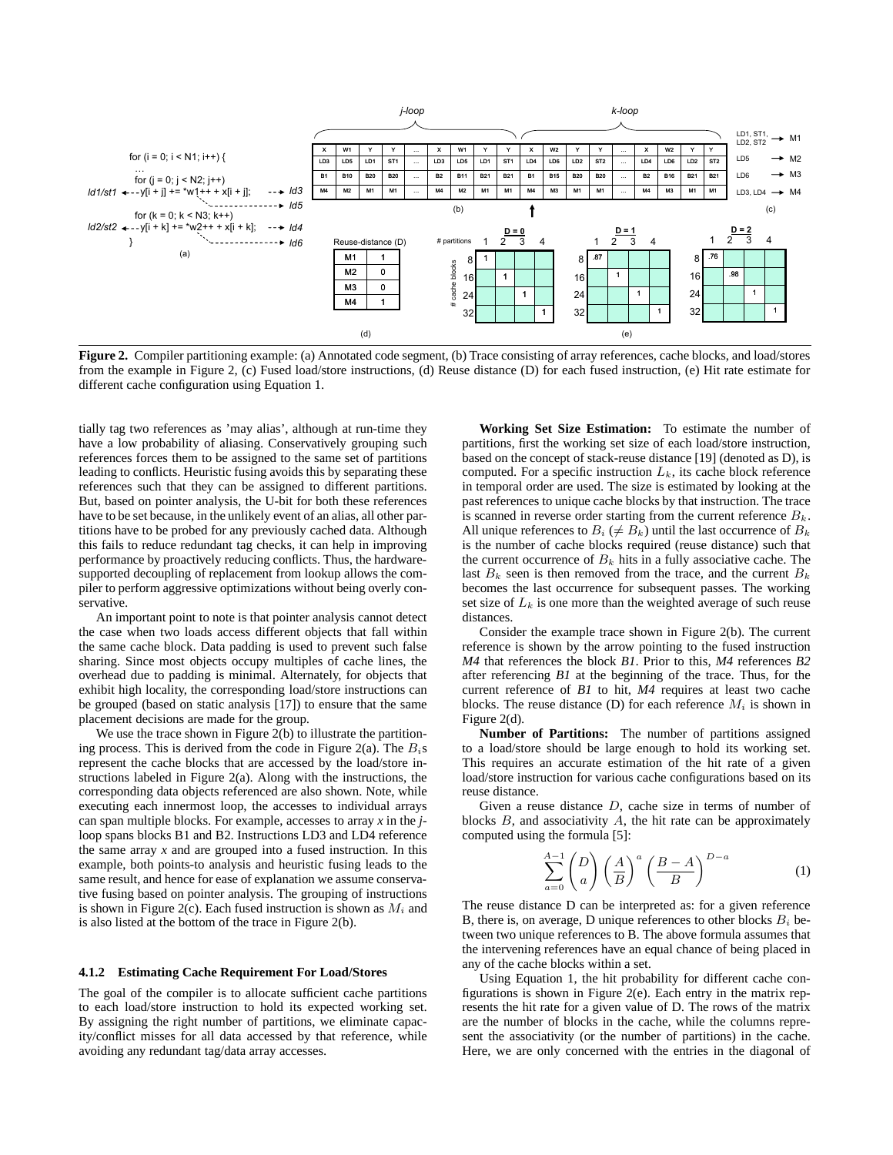

**Figure 2.** Compiler partitioning example: (a) Annotated code segment, (b) Trace consisting of array references, cache blocks, and load/stores from the example in Figure 2, (c) Fused load/store instructions, (d) Reuse distance (D) for each fused instruction, (e) Hit rate estimate for different cache configuration using Equation 1.

tially tag two references as 'may alias', although at run-time they have a low probability of aliasing. Conservatively grouping such references forces them to be assigned to the same set of partitions leading to conflicts. Heuristic fusing avoids this by separating these references such that they can be assigned to different partitions. But, based on pointer analysis, the U-bit for both these references have to be set because, in the unlikely event of an alias, all other partitions have to be probed for any previously cached data. Although this fails to reduce redundant tag checks, it can help in improving performance by proactively reducing conflicts. Thus, the hardwaresupported decoupling of replacement from lookup allows the compiler to perform aggressive optimizations without being overly conservative.

An important point to note is that pointer analysis cannot detect the case when two loads access different objects that fall within the same cache block. Data padding is used to prevent such false sharing. Since most objects occupy multiples of cache lines, the overhead due to padding is minimal. Alternately, for objects that exhibit high locality, the corresponding load/store instructions can be grouped (based on static analysis [17]) to ensure that the same placement decisions are made for the group.

We use the trace shown in Figure 2(b) to illustrate the partitioning process. This is derived from the code in Figure 2(a). The  $B_i$ s represent the cache blocks that are accessed by the load/store instructions labeled in Figure 2(a). Along with the instructions, the corresponding data objects referenced are also shown. Note, while executing each innermost loop, the accesses to individual arrays can span multiple blocks. For example, accesses to array *x* in the *j*loop spans blocks B1 and B2. Instructions LD3 and LD4 reference the same array  $x$  and are grouped into a fused instruction. In this example, both points-to analysis and heuristic fusing leads to the same result, and hence for ease of explanation we assume conservative fusing based on pointer analysis. The grouping of instructions is shown in Figure 2(c). Each fused instruction is shown as  $M_i$  and is also listed at the bottom of the trace in Figure 2(b).

#### **4.1.2 Estimating Cache Requirement For Load/Stores**

The goal of the compiler is to allocate sufficient cache partitions to each load/store instruction to hold its expected working set. By assigning the right number of partitions, we eliminate capacity/conflict misses for all data accessed by that reference, while avoiding any redundant tag/data array accesses.

**Working Set Size Estimation:** To estimate the number of partitions, first the working set size of each load/store instruction, based on the concept of stack-reuse distance [19] (denoted as D), is computed. For a specific instruction  $L_k$ , its cache block reference in temporal order are used. The size is estimated by looking at the past references to unique cache blocks by that instruction. The trace is scanned in reverse order starting from the current reference  $B_k$ . All unique references to  $B_i \neq B_k$ ) until the last occurrence of  $B_k$ is the number of cache blocks required (reuse distance) such that the current occurrence of  $B_k$  hits in a fully associative cache. The last  $B_k$  seen is then removed from the trace, and the current  $B_k$ becomes the last occurrence for subsequent passes. The working set size of  $L_k$  is one more than the weighted average of such reuse distances.

Consider the example trace shown in Figure 2(b). The current reference is shown by the arrow pointing to the fused instruction *M4* that references the block *B1*. Prior to this, *M4* references *B2* after referencing *B1* at the beginning of the trace. Thus, for the current reference of *B1* to hit, *M4* requires at least two cache blocks. The reuse distance (D) for each reference  $M_i$  is shown in Figure 2(d).

**Number of Partitions:** The number of partitions assigned to a load/store should be large enough to hold its working set. This requires an accurate estimation of the hit rate of a given load/store instruction for various cache configurations based on its reuse distance.

Given a reuse distance  $D$ , cache size in terms of number of blocks  $B$ , and associativity  $A$ , the hit rate can be approximately computed using the formula [5]:

$$
\sum_{a=0}^{A-1} \binom{D}{a} \left(\frac{A}{B}\right)^a \left(\frac{B-A}{B}\right)^{D-a} \tag{1}
$$

The reuse distance D can be interpreted as: for a given reference B, there is, on average, D unique references to other blocks  $B_i$  between two unique references to B. The above formula assumes that the intervening references have an equal chance of being placed in any of the cache blocks within a set.

Using Equation 1, the hit probability for different cache configurations is shown in Figure 2(e). Each entry in the matrix represents the hit rate for a given value of D. The rows of the matrix are the number of blocks in the cache, while the columns represent the associativity (or the number of partitions) in the cache. Here, we are only concerned with the entries in the diagonal of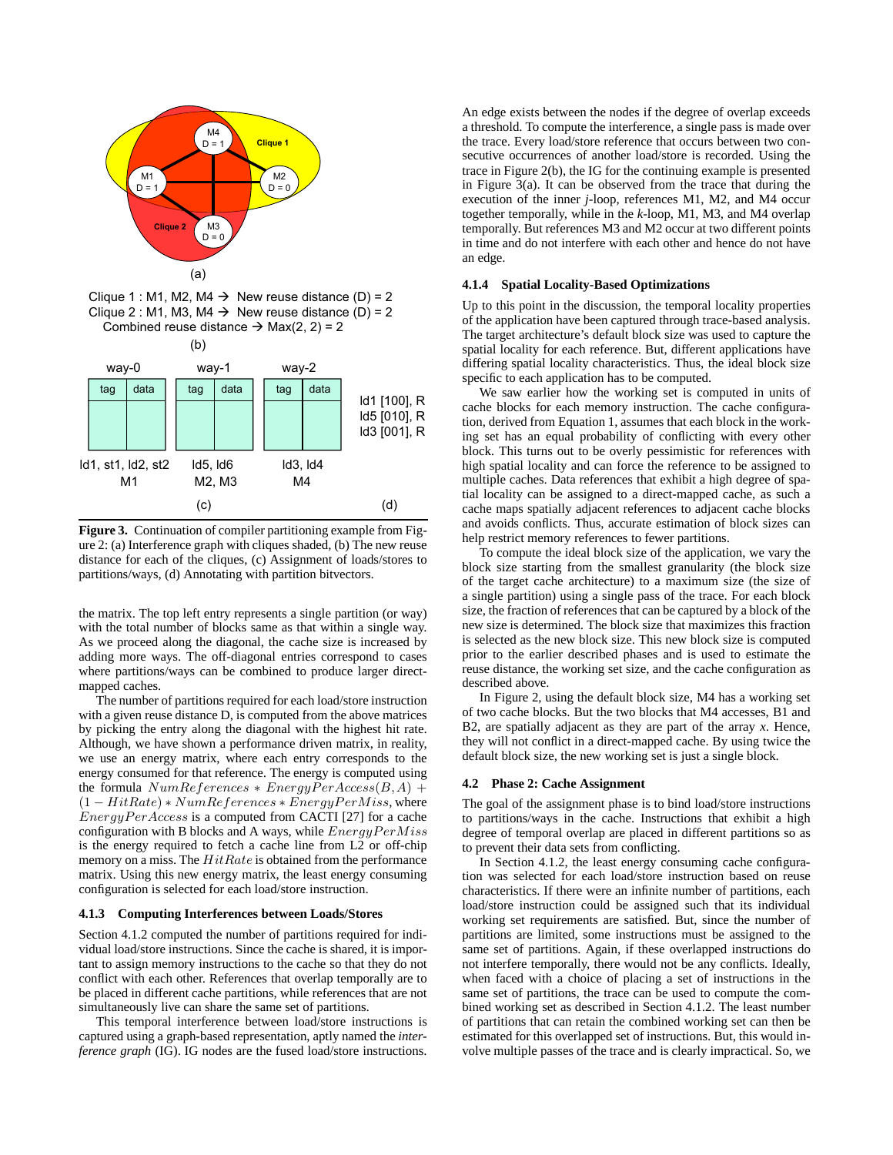

Clique 1 : M1, M2, M4  $\rightarrow$  New reuse distance (D) = 2 Clique 2 : M1, M3, M4  $\rightarrow$  New reuse distance (D) = 2 Combined reuse distance  $\rightarrow$  Max(2, 2) = 2



**Figure 3.** Continuation of compiler partitioning example from Figure 2: (a) Interference graph with cliques shaded, (b) The new reuse distance for each of the cliques, (c) Assignment of loads/stores to partitions/ways, (d) Annotating with partition bitvectors.

the matrix. The top left entry represents a single partition (or way) with the total number of blocks same as that within a single way. As we proceed along the diagonal, the cache size is increased by adding more ways. The off-diagonal entries correspond to cases where partitions/ways can be combined to produce larger directmapped caches.

The number of partitions required for each load/store instruction with a given reuse distance D, is computed from the above matrices by picking the entry along the diagonal with the highest hit rate. Although, we have shown a performance driven matrix, in reality, we use an energy matrix, where each entry corresponds to the energy consumed for that reference. The energy is computed using the formula  $NumReferences * EnergyPerAccess(B, A) +$  $(1 - HitRate) * NumReferences * EnergyPerMiss, where$  $EnergyPerAccess$  is a computed from CACTI [27] for a cache configuration with B blocks and A ways, while  $EnergyPerMiss$ is the energy required to fetch a cache line from L2 or off-chip memory on a miss. The  $HitRate$  is obtained from the performance matrix. Using this new energy matrix, the least energy consuming configuration is selected for each load/store instruction.

#### **4.1.3 Computing Interferences between Loads/Stores**

Section 4.1.2 computed the number of partitions required for individual load/store instructions. Since the cache is shared, it is important to assign memory instructions to the cache so that they do not conflict with each other. References that overlap temporally are to be placed in different cache partitions, while references that are not simultaneously live can share the same set of partitions.

This temporal interference between load/store instructions is captured using a graph-based representation, aptly named the *interference graph* (IG). IG nodes are the fused load/store instructions.

An edge exists between the nodes if the degree of overlap exceeds a threshold. To compute the interference, a single pass is made over the trace. Every load/store reference that occurs between two consecutive occurrences of another load/store is recorded. Using the trace in Figure 2(b), the IG for the continuing example is presented in Figure 3(a). It can be observed from the trace that during the execution of the inner *j*-loop, references M1, M2, and M4 occur together temporally, while in the *k*-loop, M1, M3, and M4 overlap temporally. But references M3 and M2 occur at two different points in time and do not interfere with each other and hence do not have an edge.

#### **4.1.4 Spatial Locality-Based Optimizations**

Up to this point in the discussion, the temporal locality properties of the application have been captured through trace-based analysis. The target architecture's default block size was used to capture the spatial locality for each reference. But, different applications have differing spatial locality characteristics. Thus, the ideal block size specific to each application has to be computed.

We saw earlier how the working set is computed in units of cache blocks for each memory instruction. The cache configuration, derived from Equation 1, assumes that each block in the working set has an equal probability of conflicting with every other block. This turns out to be overly pessimistic for references with high spatial locality and can force the reference to be assigned to multiple caches. Data references that exhibit a high degree of spatial locality can be assigned to a direct-mapped cache, as such a cache maps spatially adjacent references to adjacent cache blocks and avoids conflicts. Thus, accurate estimation of block sizes can help restrict memory references to fewer partitions.

To compute the ideal block size of the application, we vary the block size starting from the smallest granularity (the block size of the target cache architecture) to a maximum size (the size of a single partition) using a single pass of the trace. For each block size, the fraction of references that can be captured by a block of the new size is determined. The block size that maximizes this fraction is selected as the new block size. This new block size is computed prior to the earlier described phases and is used to estimate the reuse distance, the working set size, and the cache configuration as described above.

In Figure 2, using the default block size, M4 has a working set of two cache blocks. But the two blocks that M4 accesses, B1 and B2, are spatially adjacent as they are part of the array *x*. Hence, they will not conflict in a direct-mapped cache. By using twice the default block size, the new working set is just a single block.

# **4.2 Phase 2: Cache Assignment**

The goal of the assignment phase is to bind load/store instructions to partitions/ways in the cache. Instructions that exhibit a high degree of temporal overlap are placed in different partitions so as to prevent their data sets from conflicting.

In Section 4.1.2, the least energy consuming cache configuration was selected for each load/store instruction based on reuse characteristics. If there were an infinite number of partitions, each load/store instruction could be assigned such that its individual working set requirements are satisfied. But, since the number of partitions are limited, some instructions must be assigned to the same set of partitions. Again, if these overlapped instructions do not interfere temporally, there would not be any conflicts. Ideally, when faced with a choice of placing a set of instructions in the same set of partitions, the trace can be used to compute the combined working set as described in Section 4.1.2. The least number of partitions that can retain the combined working set can then be estimated for this overlapped set of instructions. But, this would involve multiple passes of the trace and is clearly impractical. So, we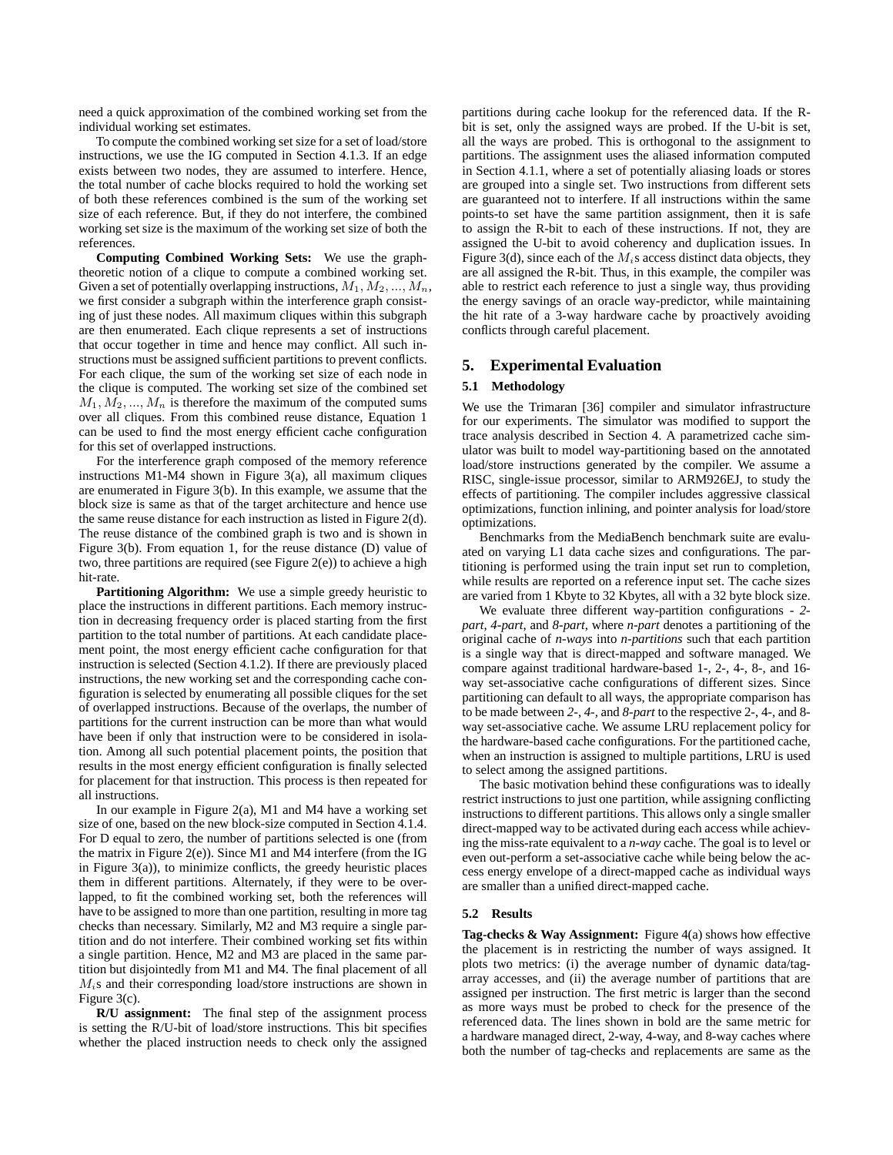need a quick approximation of the combined working set from the individual working set estimates.

To compute the combined working set size for a set of load/store instructions, we use the IG computed in Section 4.1.3. If an edge exists between two nodes, they are assumed to interfere. Hence, the total number of cache blocks required to hold the working set of both these references combined is the sum of the working set size of each reference. But, if they do not interfere, the combined working set size is the maximum of the working set size of both the references.

**Computing Combined Working Sets:** We use the graphtheoretic notion of a clique to compute a combined working set. Given a set of potentially overlapping instructions,  $M_1, M_2, ..., M_n$ , we first consider a subgraph within the interference graph consisting of just these nodes. All maximum cliques within this subgraph are then enumerated. Each clique represents a set of instructions that occur together in time and hence may conflict. All such instructions must be assigned sufficient partitions to prevent conflicts. For each clique, the sum of the working set size of each node in the clique is computed. The working set size of the combined set  $M_1, M_2, \ldots, M_n$  is therefore the maximum of the computed sums over all cliques. From this combined reuse distance, Equation 1 can be used to find the most energy efficient cache configuration for this set of overlapped instructions.

For the interference graph composed of the memory reference instructions M1-M4 shown in Figure 3(a), all maximum cliques are enumerated in Figure 3(b). In this example, we assume that the block size is same as that of the target architecture and hence use the same reuse distance for each instruction as listed in Figure 2(d). The reuse distance of the combined graph is two and is shown in Figure 3(b). From equation 1, for the reuse distance (D) value of two, three partitions are required (see Figure 2(e)) to achieve a high hit-rate.

**Partitioning Algorithm:** We use a simple greedy heuristic to place the instructions in different partitions. Each memory instruction in decreasing frequency order is placed starting from the first partition to the total number of partitions. At each candidate placement point, the most energy efficient cache configuration for that instruction is selected (Section 4.1.2). If there are previously placed instructions, the new working set and the corresponding cache configuration is selected by enumerating all possible cliques for the set of overlapped instructions. Because of the overlaps, the number of partitions for the current instruction can be more than what would have been if only that instruction were to be considered in isolation. Among all such potential placement points, the position that results in the most energy efficient configuration is finally selected for placement for that instruction. This process is then repeated for all instructions.

In our example in Figure 2(a), M1 and M4 have a working set size of one, based on the new block-size computed in Section 4.1.4. For D equal to zero, the number of partitions selected is one (from the matrix in Figure 2(e)). Since M1 and M4 interfere (from the IG in Figure  $3(a)$ ), to minimize conflicts, the greedy heuristic places them in different partitions. Alternately, if they were to be overlapped, to fit the combined working set, both the references will have to be assigned to more than one partition, resulting in more tag checks than necessary. Similarly, M2 and M3 require a single partition and do not interfere. Their combined working set fits within a single partition. Hence, M2 and M3 are placed in the same partition but disjointedly from M1 and M4. The final placement of all  $M_i$ s and their corresponding load/store instructions are shown in Figure 3(c).

**R/U assignment:** The final step of the assignment process is setting the R/U-bit of load/store instructions. This bit specifies whether the placed instruction needs to check only the assigned

partitions during cache lookup for the referenced data. If the Rbit is set, only the assigned ways are probed. If the U-bit is set, all the ways are probed. This is orthogonal to the assignment to partitions. The assignment uses the aliased information computed in Section 4.1.1, where a set of potentially aliasing loads or stores are grouped into a single set. Two instructions from different sets are guaranteed not to interfere. If all instructions within the same points-to set have the same partition assignment, then it is safe to assign the R-bit to each of these instructions. If not, they are assigned the U-bit to avoid coherency and duplication issues. In Figure 3(d), since each of the  $M_i$ s access distinct data objects, they are all assigned the R-bit. Thus, in this example, the compiler was able to restrict each reference to just a single way, thus providing the energy savings of an oracle way-predictor, while maintaining the hit rate of a 3-way hardware cache by proactively avoiding conflicts through careful placement.

# **5. Experimental Evaluation**

#### **5.1 Methodology**

We use the Trimaran [36] compiler and simulator infrastructure for our experiments. The simulator was modified to support the trace analysis described in Section 4. A parametrized cache simulator was built to model way-partitioning based on the annotated load/store instructions generated by the compiler. We assume a RISC, single-issue processor, similar to ARM926EJ, to study the effects of partitioning. The compiler includes aggressive classical optimizations, function inlining, and pointer analysis for load/store optimizations.

Benchmarks from the MediaBench benchmark suite are evaluated on varying L1 data cache sizes and configurations. The partitioning is performed using the train input set run to completion, while results are reported on a reference input set. The cache sizes are varied from 1 Kbyte to 32 Kbytes, all with a 32 byte block size.

We evaluate three different way-partition configurations - *2 part*, *4-part*, and *8-part*, where *n-part* denotes a partitioning of the original cache of *n-ways* into *n-partitions* such that each partition is a single way that is direct-mapped and software managed. We compare against traditional hardware-based 1-, 2-, 4-, 8-, and 16 way set-associative cache configurations of different sizes. Since partitioning can default to all ways, the appropriate comparison has to be made between *2-*, *4-*, and *8-part* to the respective 2-, 4-, and 8 way set-associative cache. We assume LRU replacement policy for the hardware-based cache configurations. For the partitioned cache, when an instruction is assigned to multiple partitions, LRU is used to select among the assigned partitions.

The basic motivation behind these configurations was to ideally restrict instructions to just one partition, while assigning conflicting instructions to different partitions. This allows only a single smaller direct-mapped way to be activated during each access while achieving the miss-rate equivalent to a *n-way* cache. The goal is to level or even out-perform a set-associative cache while being below the access energy envelope of a direct-mapped cache as individual ways are smaller than a unified direct-mapped cache.

#### **5.2 Results**

**Tag-checks & Way Assignment:** Figure 4(a) shows how effective the placement is in restricting the number of ways assigned. It plots two metrics: (i) the average number of dynamic data/tagarray accesses, and (ii) the average number of partitions that are assigned per instruction. The first metric is larger than the second as more ways must be probed to check for the presence of the referenced data. The lines shown in bold are the same metric for a hardware managed direct, 2-way, 4-way, and 8-way caches where both the number of tag-checks and replacements are same as the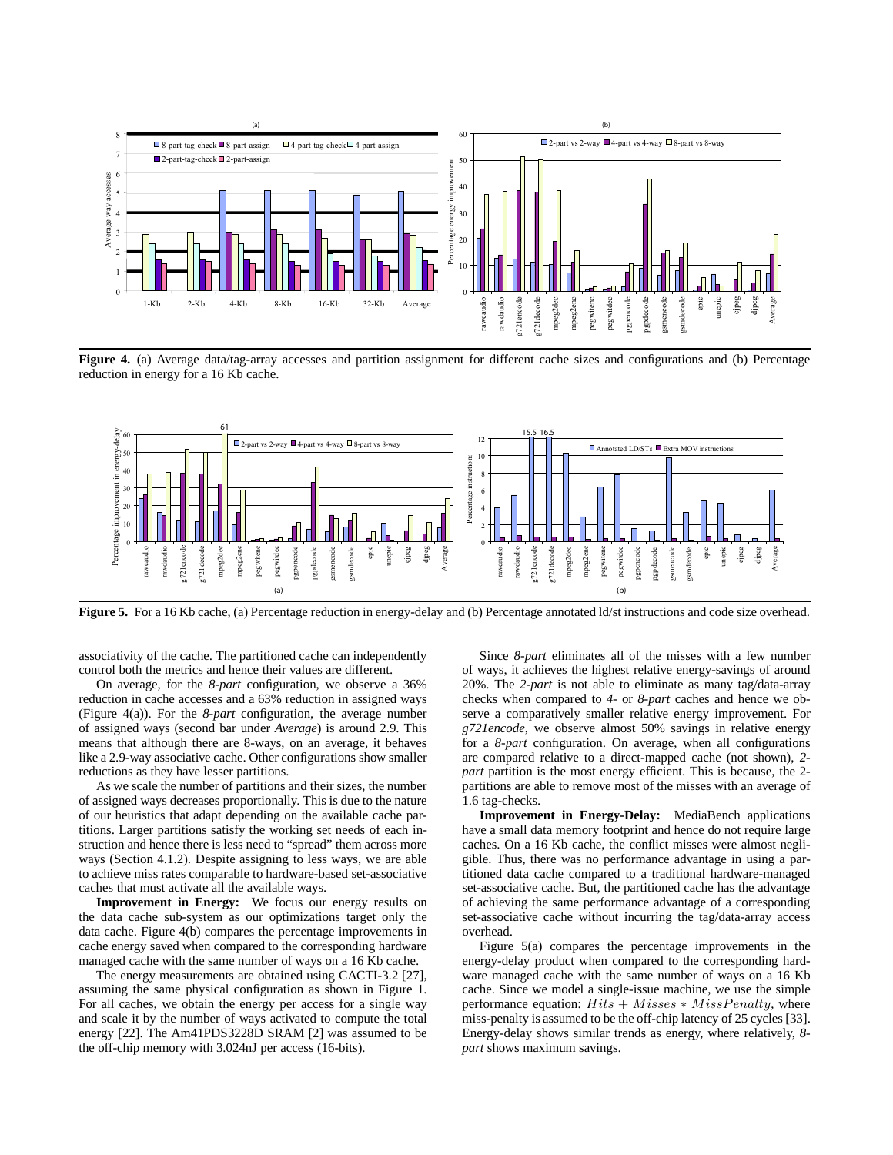

**Figure 4.** (a) Average data/tag-array accesses and partition assignment for different cache sizes and configurations and (b) Percentage reduction in energy for a 16 Kb cache.



**Figure 5.** For a 16 Kb cache, (a) Percentage reduction in energy-delay and (b) Percentage annotated Id/st instructions and code size overhead.

associativity of the cache. The partitioned cache can independently control both the metrics and hence their values are different.

On average, for the *8-part* configuration, we observe a 36% reduction in cache accesses and a 63% reduction in assigned ways (Figure 4(a)). For the *8-part* configuration, the average number of assigned ways (second bar under *Average*) is around 2.9. This means that although there are 8-ways, on an average, it behaves like a 2.9-way associative cache. Other configurations show smaller reductions as they have lesser partitions.

As we scale the number of partitions and their sizes, the number of assigned ways decreases proportionally. This is due to the nature of our heuristics that adapt depending on the available cache partitions. Larger partitions satisfy the working set needs of each instruction and hence there is less need to "spread" them across more ways (Section 4.1.2). Despite assigning to less ways, we are able to achieve miss rates comparable to hardware-based set-associative caches that must activate all the available ways.

**Improvement in Energy:** We focus our energy results on the data cache sub-system as our optimizations target only the data cache. Figure 4(b) compares the percentage improvements in cache energy saved when compared to the corresponding hardware managed cache with the same number of ways on a 16 Kb cache.

The energy measurements are obtained using CACTI-3.2 [27], assuming the same physical configuration as shown in Figure 1. For all caches, we obtain the energy per access for a single way and scale it by the number of ways activated to compute the total energy [22]. The Am41PDS3228D SRAM [2] was assumed to be the off-chip memory with 3.024nJ per access (16-bits).

Since *8-part* eliminates all of the misses with a few number of ways, it achieves the highest relative energy-savings of around 20%. The *2-part* is not able to eliminate as many tag/data-array checks when compared to *4-* or *8-part* caches and hence we observe a comparatively smaller relative energy improvement. For *g721encode*, we observe almost 50% savings in relative energy for a *8-part* configuration. On average, when all configurations are compared relative to a direct-mapped cache (not shown), *2 part* partition is the most energy efficient. This is because, the 2 partitions are able to remove most of the misses with an average of 1.6 tag-checks.

**Improvement in Energy-Delay:** MediaBench applications have a small data memory footprint and hence do not require large caches. On a 16 Kb cache, the conflict misses were almost negligible. Thus, there was no performance advantage in using a partitioned data cache compared to a traditional hardware-managed set-associative cache. But, the partitioned cache has the advantage of achieving the same performance advantage of a corresponding set-associative cache without incurring the tag/data-array access overhead.

Figure 5(a) compares the percentage improvements in the energy-delay product when compared to the corresponding hardware managed cache with the same number of ways on a 16 Kb cache. Since we model a single-issue machine, we use the simple performance equation:  $Hits + Misses * MissPenalty$ , where miss-penalty is assumed to be the off-chip latency of 25 cycles [33]. Energy-delay shows similar trends as energy, where relatively, *8 part* shows maximum savings.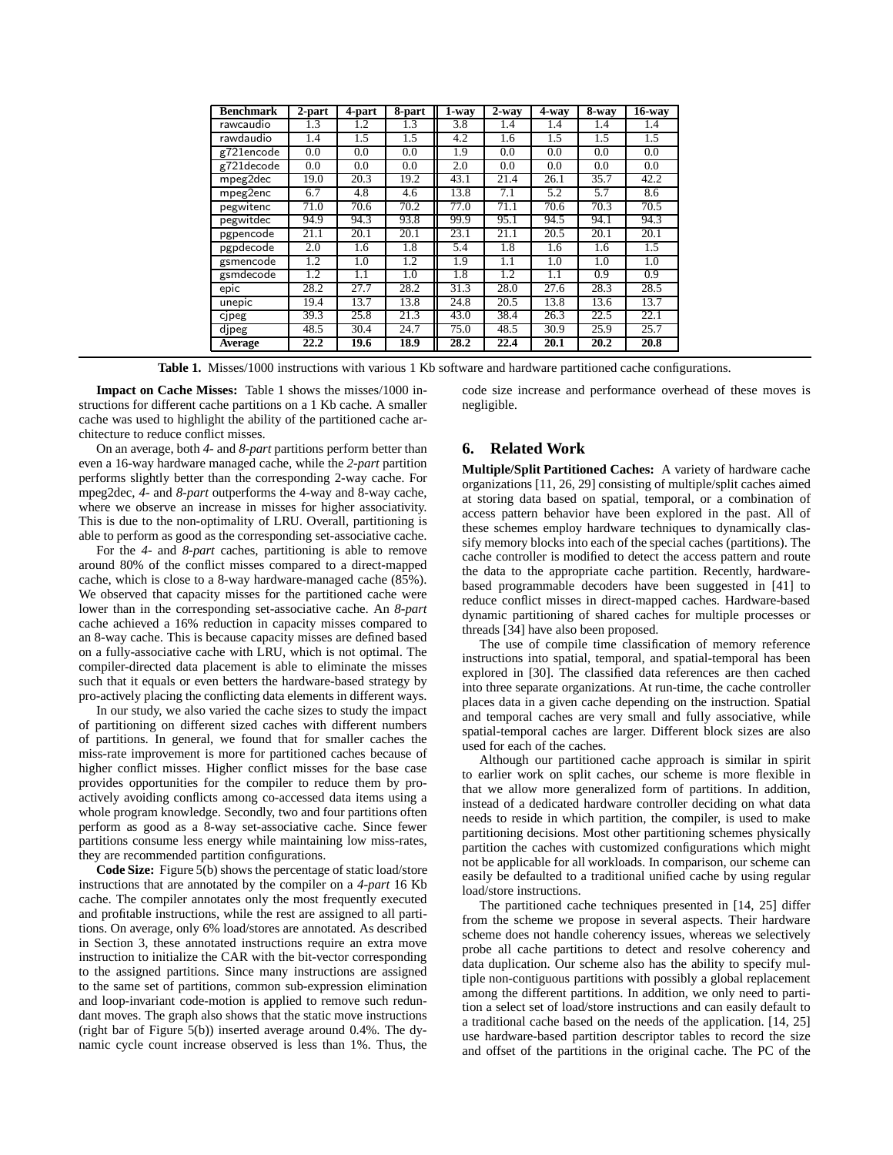| <b>Benchmark</b> | 2-part | 4-part | 8-part            | 1-way | $2$ -way | $4 - way$ | 8-way | $16$ -way |
|------------------|--------|--------|-------------------|-------|----------|-----------|-------|-----------|
| rawcaudio        | 1.3    | 1.2    | 1.3               | 3.8   | 1.4      | 1.4       | 1.4   | 1.4       |
| rawdaudio        | 1.4    | 1.5    | 1.5               | 4.2   | 1.6      | 1.5       | 1.5   | 1.5       |
| g721encode       | 0.0    | 0.0    | 0.0               | 1.9   | 0.0      | 0.0       | 0.0   | 0.0       |
| g721decode       | 0.0    | 0.0    | 0.0               | 2.0   | 0.0      | 0.0       | 0.0   | 0.0       |
| mpeg2dec         | 19.0   | 20.3   | 19.2              | 43.1  | 21.4     | 26.1      | 35.7  | 42.2      |
| $m$ peg $2$ enc  | 6.7    | 4.8    | 4.6               | 13.8  | 7.1      | 5.2       | 5.7   | 8.6       |
| pegwitenc        | 71.0   | 70.6   | 70.2              | 77.0  | 71.1     | 70.6      | 70.3  | 70.5      |
| pegwitdec        | 94.9   | 94.3   | 93.8              | 99.9  | 95.1     | 94.5      | 94.1  | 94.3      |
| pgpencode        | 21.1   | 20.1   | 20.1              | 23.1  | 21.1     | 20.5      | 20.1  | 20.1      |
| pgpdecode        | 2.0    | 1.6    | 1.8               | 5.4   | 1.8      | 1.6       | 1.6   | 1.5       |
| gsmencode        | 1.2    | 1.0    | 1.2               | 1.9   | 1.1      | 1.0       | 1.0   | 1.0       |
| gsmdecode        | 1.2    | 1.1    | 1.0               | 1.8   | 1.2      | 1.1       | 0.9   | 0.9       |
| epic             | 28.2   | 27.7   | 28.2              | 31.3  | 28.0     | 27.6      | 28.3  | 28.5      |
| unepic           | 19.4   | 13.7   | 13.8              | 24.8  | 20.5     | 13.8      | 13.6  | 13.7      |
| cjpeg            | 39.3   | 25.8   | 21.3              | 43.0  | 38.4     | 26.3      | 22.5  | 22.1      |
| dipeg            | 48.5   | 30.4   | 24.7              | 75.0  | 48.5     | 30.9      | 25.9  | 25.7      |
| <b>Average</b>   | 22.2   | 19.6   | $\overline{18.9}$ | 28.2  | 22.4     | 20.1      | 20.2  | 20.8      |

**Table 1.** Misses/1000 instructions with various 1 Kb software and hardware partitioned cache configurations.

**Impact on Cache Misses:** Table 1 shows the misses/1000 instructions for different cache partitions on a 1 Kb cache. A smaller cache was used to highlight the ability of the partitioned cache architecture to reduce conflict misses.

On an average, both *4-* and *8-part* partitions perform better than even a 16-way hardware managed cache, while the *2-part* partition performs slightly better than the corresponding 2-way cache. For mpeg2dec, *4-* and *8-part* outperforms the 4-way and 8-way cache, where we observe an increase in misses for higher associativity. This is due to the non-optimality of LRU. Overall, partitioning is able to perform as good as the corresponding set-associative cache.

For the *4-* and *8-part* caches, partitioning is able to remove around 80% of the conflict misses compared to a direct-mapped cache, which is close to a 8-way hardware-managed cache (85%). We observed that capacity misses for the partitioned cache were lower than in the corresponding set-associative cache. An *8-part* cache achieved a 16% reduction in capacity misses compared to an 8-way cache. This is because capacity misses are defined based on a fully-associative cache with LRU, which is not optimal. The compiler-directed data placement is able to eliminate the misses such that it equals or even betters the hardware-based strategy by pro-actively placing the conflicting data elements in different ways.

In our study, we also varied the cache sizes to study the impact of partitioning on different sized caches with different numbers of partitions. In general, we found that for smaller caches the miss-rate improvement is more for partitioned caches because of higher conflict misses. Higher conflict misses for the base case provides opportunities for the compiler to reduce them by proactively avoiding conflicts among co-accessed data items using a whole program knowledge. Secondly, two and four partitions often perform as good as a 8-way set-associative cache. Since fewer partitions consume less energy while maintaining low miss-rates, they are recommended partition configurations.

**Code Size:** Figure 5(b) shows the percentage of static load/store instructions that are annotated by the compiler on a *4-part* 16 Kb cache. The compiler annotates only the most frequently executed and profitable instructions, while the rest are assigned to all partitions. On average, only 6% load/stores are annotated. As described in Section 3, these annotated instructions require an extra move instruction to initialize the CAR with the bit-vector corresponding to the assigned partitions. Since many instructions are assigned to the same set of partitions, common sub-expression elimination and loop-invariant code-motion is applied to remove such redundant moves. The graph also shows that the static move instructions (right bar of Figure 5(b)) inserted average around 0.4%. The dynamic cycle count increase observed is less than 1%. Thus, the code size increase and performance overhead of these moves is negligible.

# **6. Related Work**

**Multiple/Split Partitioned Caches:** A variety of hardware cache organizations [11, 26, 29] consisting of multiple/split caches aimed at storing data based on spatial, temporal, or a combination of access pattern behavior have been explored in the past. All of these schemes employ hardware techniques to dynamically classify memory blocks into each of the special caches (partitions). The cache controller is modified to detect the access pattern and route the data to the appropriate cache partition. Recently, hardwarebased programmable decoders have been suggested in [41] to reduce conflict misses in direct-mapped caches. Hardware-based dynamic partitioning of shared caches for multiple processes or threads [34] have also been proposed.

The use of compile time classification of memory reference instructions into spatial, temporal, and spatial-temporal has been explored in [30]. The classified data references are then cached into three separate organizations. At run-time, the cache controller places data in a given cache depending on the instruction. Spatial and temporal caches are very small and fully associative, while spatial-temporal caches are larger. Different block sizes are also used for each of the caches.

Although our partitioned cache approach is similar in spirit to earlier work on split caches, our scheme is more flexible in that we allow more generalized form of partitions. In addition, instead of a dedicated hardware controller deciding on what data needs to reside in which partition, the compiler, is used to make partitioning decisions. Most other partitioning schemes physically partition the caches with customized configurations which might not be applicable for all workloads. In comparison, our scheme can easily be defaulted to a traditional unified cache by using regular load/store instructions.

The partitioned cache techniques presented in [14, 25] differ from the scheme we propose in several aspects. Their hardware scheme does not handle coherency issues, whereas we selectively probe all cache partitions to detect and resolve coherency and data duplication. Our scheme also has the ability to specify multiple non-contiguous partitions with possibly a global replacement among the different partitions. In addition, we only need to partition a select set of load/store instructions and can easily default to a traditional cache based on the needs of the application. [14, 25] use hardware-based partition descriptor tables to record the size and offset of the partitions in the original cache. The PC of the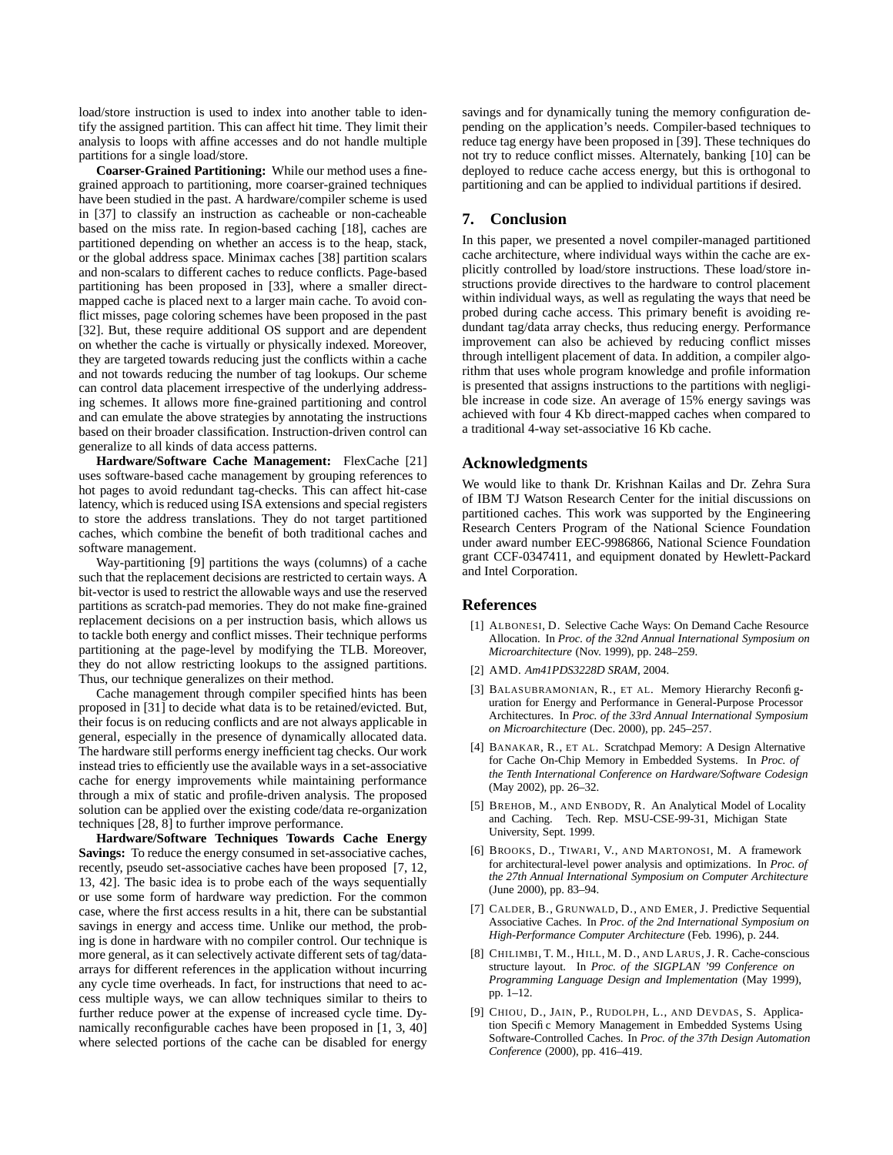load/store instruction is used to index into another table to identify the assigned partition. This can affect hit time. They limit their analysis to loops with affine accesses and do not handle multiple partitions for a single load/store.

**Coarser-Grained Partitioning:** While our method uses a finegrained approach to partitioning, more coarser-grained techniques have been studied in the past. A hardware/compiler scheme is used in [37] to classify an instruction as cacheable or non-cacheable based on the miss rate. In region-based caching [18], caches are partitioned depending on whether an access is to the heap, stack, or the global address space. Minimax caches [38] partition scalars and non-scalars to different caches to reduce conflicts. Page-based partitioning has been proposed in [33], where a smaller directmapped cache is placed next to a larger main cache. To avoid conflict misses, page coloring schemes have been proposed in the past [32]. But, these require additional OS support and are dependent on whether the cache is virtually or physically indexed. Moreover, they are targeted towards reducing just the conflicts within a cache and not towards reducing the number of tag lookups. Our scheme can control data placement irrespective of the underlying addressing schemes. It allows more fine-grained partitioning and control and can emulate the above strategies by annotating the instructions based on their broader classification. Instruction-driven control can generalize to all kinds of data access patterns.

**Hardware/Software Cache Management:** FlexCache [21] uses software-based cache management by grouping references to hot pages to avoid redundant tag-checks. This can affect hit-case latency, which is reduced using ISA extensions and special registers to store the address translations. They do not target partitioned caches, which combine the benefit of both traditional caches and software management.

Way-partitioning [9] partitions the ways (columns) of a cache such that the replacement decisions are restricted to certain ways. A bit-vector is used to restrict the allowable ways and use the reserved partitions as scratch-pad memories. They do not make fine-grained replacement decisions on a per instruction basis, which allows us to tackle both energy and conflict misses. Their technique performs partitioning at the page-level by modifying the TLB. Moreover, they do not allow restricting lookups to the assigned partitions. Thus, our technique generalizes on their method.

Cache management through compiler specified hints has been proposed in [31] to decide what data is to be retained/evicted. But, their focus is on reducing conflicts and are not always applicable in general, especially in the presence of dynamically allocated data. The hardware still performs energy inefficient tag checks. Our work instead tries to efficiently use the available ways in a set-associative cache for energy improvements while maintaining performance through a mix of static and profile-driven analysis. The proposed solution can be applied over the existing code/data re-organization techniques [28, 8] to further improve performance.

**Hardware/Software Techniques Towards Cache Energy Savings:** To reduce the energy consumed in set-associative caches, recently, pseudo set-associative caches have been proposed [7, 12, 13, 42]. The basic idea is to probe each of the ways sequentially or use some form of hardware way prediction. For the common case, where the first access results in a hit, there can be substantial savings in energy and access time. Unlike our method, the probing is done in hardware with no compiler control. Our technique is more general, as it can selectively activate different sets of tag/dataarrays for different references in the application without incurring any cycle time overheads. In fact, for instructions that need to access multiple ways, we can allow techniques similar to theirs to further reduce power at the expense of increased cycle time. Dynamically reconfigurable caches have been proposed in [1, 3, 40] where selected portions of the cache can be disabled for energy

savings and for dynamically tuning the memory configuration depending on the application's needs. Compiler-based techniques to reduce tag energy have been proposed in [39]. These techniques do not try to reduce conflict misses. Alternately, banking [10] can be deployed to reduce cache access energy, but this is orthogonal to partitioning and can be applied to individual partitions if desired.

## **7. Conclusion**

In this paper, we presented a novel compiler-managed partitioned cache architecture, where individual ways within the cache are explicitly controlled by load/store instructions. These load/store instructions provide directives to the hardware to control placement within individual ways, as well as regulating the ways that need be probed during cache access. This primary benefit is avoiding redundant tag/data array checks, thus reducing energy. Performance improvement can also be achieved by reducing conflict misses through intelligent placement of data. In addition, a compiler algorithm that uses whole program knowledge and profile information is presented that assigns instructions to the partitions with negligible increase in code size. An average of 15% energy savings was achieved with four 4 Kb direct-mapped caches when compared to a traditional 4-way set-associative 16 Kb cache.

## **Acknowledgments**

We would like to thank Dr. Krishnan Kailas and Dr. Zehra Sura of IBM TJ Watson Research Center for the initial discussions on partitioned caches. This work was supported by the Engineering Research Centers Program of the National Science Foundation under award number EEC-9986866, National Science Foundation grant CCF-0347411, and equipment donated by Hewlett-Packard and Intel Corporation.

#### **References**

- [1] ALBONESI, D. Selective Cache Ways: On Demand Cache Resource Allocation. In *Proc. of the 32nd Annual International Symposium on Microarchitecture* (Nov. 1999), pp. 248–259.
- [2] AMD. *Am41PDS3228D SRAM*, 2004.
- [3] BALASUBRAMONIAN, R., ET AL. Memory Hierarchy Reconfiguration for Energy and Performance in General-Purpose Processor Architectures. In *Proc. of the 33rd Annual International Symposium on Microarchitecture* (Dec. 2000), pp. 245–257.
- [4] BANAKAR, R., ET AL. Scratchpad Memory: A Design Alternative for Cache On-Chip Memory in Embedded Systems. In *Proc. of the Tenth International Conference on Hardware/Software Codesign* (May 2002), pp. 26–32.
- [5] BREHOB, M., AND ENBODY, R. An Analytical Model of Locality and Caching. Tech. Rep. MSU-CSE-99-31, Michigan State University, Sept. 1999.
- [6] BROOKS, D., TIWARI, V., AND MARTONOSI, M. A framework for architectural-level power analysis and optimizations. In *Proc. of the 27th Annual International Symposium on Computer Architecture* (June 2000), pp. 83–94.
- [7] CALDER, B., GRUNWALD, D., AND EMER, J. Predictive Sequential Associative Caches. In *Proc. of the 2nd International Symposium on High-Performance Computer Architecture* (Feb. 1996), p. 244.
- [8] CHILIMBI, T. M., HILL, M. D., AND LARUS, J. R. Cache-conscious structure layout. In *Proc. of the SIGPLAN '99 Conference on Programming Language Design and Implementation* (May 1999), pp. 1–12.
- [9] CHIOU, D., JAIN, P., RUDOLPH, L., AND DEVDAS, S. Application Specific Memory Management in Embedded Systems Using Software-Controlled Caches. In *Proc. of the 37th Design Automation Conference* (2000), pp. 416–419.